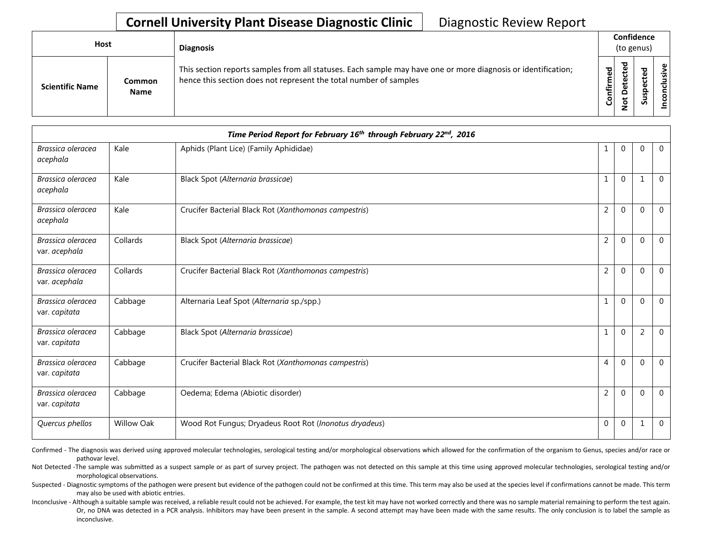## **Cornell University Plant Disease Diagnostic Clinic** | Diagnostic Review Report

| Host                   |                              | <b>Diagnosis</b>                                                                                                                                                                   |           | Confidence<br>(to genus) |   |                 |  |  |
|------------------------|------------------------------|------------------------------------------------------------------------------------------------------------------------------------------------------------------------------------|-----------|--------------------------|---|-----------------|--|--|
| <b>Scientific Name</b> | <b>Common</b><br><b>Name</b> | This section reports samples from all statuses. Each sample may have one or more diagnosis or identification;<br>hence this section does not represent the total number of samples | Confirmed | ≖<br>c                   | s | usive<br>०<br>g |  |  |

| Time Period Report for February 16th through February 22nd, 2016 |                   |                                                        |                |              |                |                |  |
|------------------------------------------------------------------|-------------------|--------------------------------------------------------|----------------|--------------|----------------|----------------|--|
| Brassica oleracea<br>acephala                                    | Kale              | Aphids (Plant Lice) (Family Aphididae)                 | 1              | $\mathbf 0$  | $\Omega$       | $\overline{0}$ |  |
| Brassica oleracea<br>acephala                                    | Kale              | Black Spot (Alternaria brassicae)                      | 1              | $\mathbf 0$  | 1              | $\mathbf 0$    |  |
| Brassica oleracea<br>acephala                                    | Kale              | Crucifer Bacterial Black Rot (Xanthomonas campestris)  | $\overline{2}$ | $\mathbf{0}$ | $\Omega$       | $\overline{0}$ |  |
| Brassica oleracea<br>var. acephala                               | Collards          | Black Spot (Alternaria brassicae)                      | $\overline{2}$ | $\Omega$     | $\Omega$       | $\Omega$       |  |
| Brassica oleracea<br>var. acephala                               | Collards          | Crucifer Bacterial Black Rot (Xanthomonas campestris)  | $\overline{2}$ | $\mathbf 0$  | $\Omega$       | $\mathbf{0}$   |  |
| Brassica oleracea<br>var. capitata                               | Cabbage           | Alternaria Leaf Spot (Alternaria sp./spp.)             | $\mathbf{1}$   | $\Omega$     | $\Omega$       | $\overline{0}$ |  |
| Brassica oleracea<br>var. capitata                               | Cabbage           | Black Spot (Alternaria brassicae)                      | $\mathbf{1}$   | $\mathbf{0}$ | $\overline{2}$ | $\Omega$       |  |
| Brassica oleracea<br>var. capitata                               | Cabbage           | Crucifer Bacterial Black Rot (Xanthomonas campestris)  | 4              | $\Omega$     | $\Omega$       | $\overline{0}$ |  |
| Brassica oleracea<br>var. capitata                               | Cabbage           | Oedema; Edema (Abiotic disorder)                       | $\overline{2}$ | $\mathbf{0}$ | $\Omega$       | $\mathbf 0$    |  |
| Quercus phellos                                                  | <b>Willow Oak</b> | Wood Rot Fungus; Dryadeus Root Rot (Inonotus dryadeus) | $\mathbf 0$    | $\mathbf 0$  |                | $\overline{0}$ |  |

Confirmed - The diagnosis was derived using approved molecular technologies, serological testing and/or morphological observations which allowed for the confirmation of the organism to Genus, species and/or race or pathovar level.

Not Detected -The sample was submitted as a suspect sample or as part of survey project. The pathogen was not detected on this sample at this time using approved molecular technologies, serological testing and/or morphological observations.

Suspected - Diagnostic symptoms of the pathogen were present but evidence of the pathogen could not be confirmed at this time. This term may also be used at the species level if confirmations cannot be made. This term may also be used with abiotic entries.

Inconclusive - Although a suitable sample was received, a reliable result could not be achieved. For example, the test kit may have not worked correctly and there was no sample material remaining to perform the test again. Or, no DNA was detected in a PCR analysis. Inhibitors may have been present in the sample. A second attempt may have been made with the same results. The only conclusion is to label the sample as inconclusive.